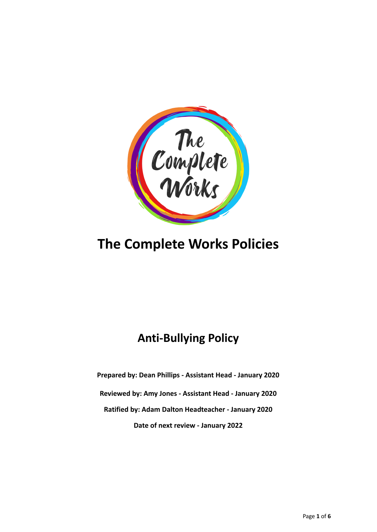

# **The Complete Works Policies**

# **Anti-Bullying Policy**

**Prepared by: Dean Phillips - Assistant Head - January 2020 Reviewed by: Amy Jones - Assistant Head - January 2020 Ratified by: Adam Dalton Headteacher - January 2020 Date of next review - January 2022**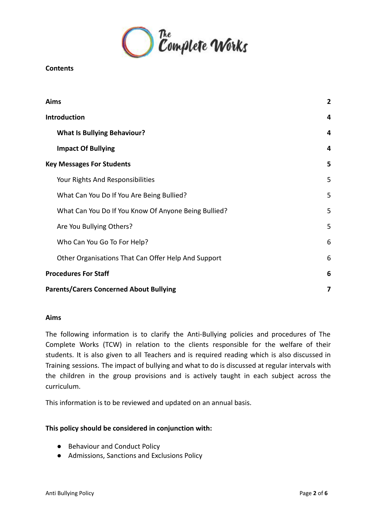

#### **Contents**

| Aims                                                 | $\overline{2}$ |
|------------------------------------------------------|----------------|
| <b>Introduction</b>                                  | 4              |
| <b>What Is Bullying Behaviour?</b>                   | 4              |
| <b>Impact Of Bullying</b>                            | 4              |
| <b>Key Messages For Students</b>                     | 5              |
| Your Rights And Responsibilities                     | 5              |
| What Can You Do If You Are Being Bullied?            | 5              |
| What Can You Do If You Know Of Anyone Being Bullied? | 5              |
| Are You Bullying Others?                             | 5              |
| Who Can You Go To For Help?                          | 6              |
| Other Organisations That Can Offer Help And Support  | 6              |
| <b>Procedures For Staff</b>                          | 6              |
| <b>Parents/Carers Concerned About Bullying</b>       | 7              |

#### <span id="page-1-0"></span>**Aims**

The following information is to clarify the Anti-Bullying policies and procedures of The Complete Works (TCW) in relation to the clients responsible for the welfare of their students. It is also given to all Teachers and is required reading which is also discussed in Training sessions. The impact of bullying and what to do is discussed at regular intervals with the children in the group provisions and is actively taught in each subject across the curriculum.

This information is to be reviewed and updated on an annual basis.

#### **This policy should be considered in conjunction with:**

- Behaviour and Conduct Policy
- Admissions, Sanctions and Exclusions Policy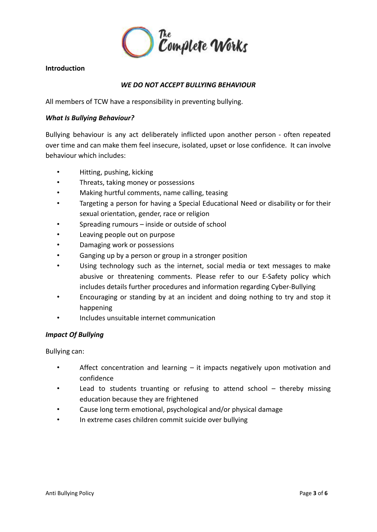

#### **Introduction**

## *WE DO NOT ACCEPT BULLYING BEHAVIOUR*

All members of TCW have a responsibility in preventing bullying.

#### <span id="page-2-0"></span>*What Is Bullying Behaviour?*

Bullying behaviour is any act deliberately inflicted upon another person - often repeated over time and can make them feel insecure, isolated, upset or lose confidence. It can involve behaviour which includes:

- Hitting, pushing, kicking
- Threats, taking money or possessions
- Making hurtful comments, name calling, teasing
- Targeting a person for having a Special Educational Need or disability or for their sexual orientation, gender, race or religion
- Spreading rumours inside or outside of school
- Leaving people out on purpose
- Damaging work or possessions
- Ganging up by a person or group in a stronger position
- Using technology such as the internet, social media or text messages to make abusive or threatening comments. Please refer to our E-Safety policy which includes details further procedures and information regarding Cyber-Bullying
- Encouraging or standing by at an incident and doing nothing to try and stop it happening
- Includes unsuitable internet communication

#### <span id="page-2-1"></span>*Impact Of Bullying*

Bullying can:

- Affect concentration and learning it impacts negatively upon motivation and confidence
- Lead to students truanting or refusing to attend school  $-$  thereby missing education because they are frightened
- Cause long term emotional, psychological and/or physical damage
- In extreme cases children commit suicide over bullying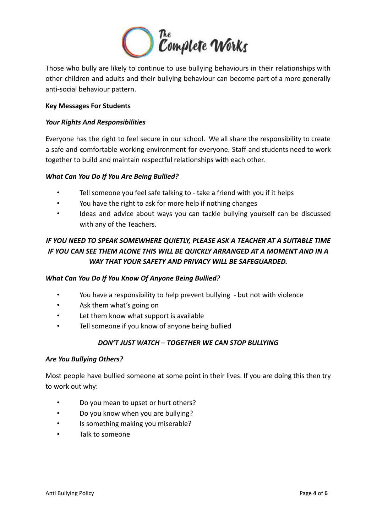

Those who bully are likely to continue to use bullying behaviours in their relationships with other children and adults and their bullying behaviour can become part of a more generally anti-social behaviour pattern.

#### <span id="page-3-0"></span>**Key Messages For Students**

#### <span id="page-3-1"></span>*Your Rights And Responsibilities*

Everyone has the right to feel secure in our school. We all share the responsibility to create a safe and comfortable working environment for everyone. Staff and students need to work together to build and maintain respectful relationships with each other.

#### <span id="page-3-2"></span>*What Can You Do If You Are Being Bullied?*

- Tell someone you feel safe talking to take a friend with you if it helps
- You have the right to ask for more help if nothing changes
- Ideas and advice about ways you can tackle bullying yourself can be discussed with any of the Teachers.

# *IF YOU NEED TO SPEAK SOMEWHERE QUIETLY, PLEASE ASK A TEACHER AT A SUITABLE TIME IF YOU CAN SEE THEM ALONE THIS WILL BE QUICKLY ARRANGED AT A MOMENT AND IN A WAY THAT YOUR SAFETY AND PRIVACY WILL BE SAFEGUARDED.*

#### <span id="page-3-3"></span>*What Can You Do If You Know Of Anyone Being Bullied?*

- You have a responsibility to help prevent bullying but not with violence
- Ask them what's going on
- Let them know what support is available
- Tell someone if you know of anyone being bullied

#### *DON'T JUST WATCH – TOGETHER WE CAN STOP BULLYING*

#### <span id="page-3-4"></span>*Are You Bullying Others?*

Most people have bullied someone at some point in their lives. If you are doing this then try to work out why:

- Do you mean to upset or hurt others?
- Do you know when you are bullying?
- Is something making you miserable?
- Talk to someone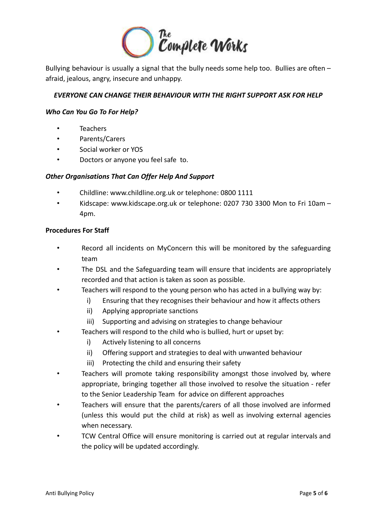

Bullying behaviour is usually a signal that the bully needs some help too. Bullies are often afraid, jealous, angry, insecure and unhappy.

### *EVERYONE CAN CHANGE THEIR BEHAVIOUR WITH THE RIGHT SUPPORT ASK FOR HELP*

#### <span id="page-4-0"></span>*Who Can You Go To For Help?*

- **Teachers**
- Parents/Carers
- Social worker or YOS
- Doctors or anyone you feel safe to.

#### <span id="page-4-1"></span>*Other Organisations That Can Offer Help And Support*

- Childline: www.childline.org.uk or telephone: 0800 1111
- Kidscape: www.kidscape.org.uk or telephone: 0207 730 3300 Mon to Fri 10am 4pm.

#### <span id="page-4-2"></span>**Procedures For Staff**

- Record all incidents on MyConcern this will be monitored by the safeguarding team
- The DSL and the Safeguarding team will ensure that incidents are appropriately recorded and that action is taken as soon as possible.
- Teachers will respond to the young person who has acted in a bullying way by:
	- i) Ensuring that they recognises their behaviour and how it affects others
	- ii) Applying appropriate sanctions
	- iii) Supporting and advising on strategies to change behaviour
- Teachers will respond to the child who is bullied, hurt or upset by:
	- i) Actively listening to all concerns
	- ii) Offering support and strategies to deal with unwanted behaviour
	- iii) Protecting the child and ensuring their safety
- Teachers will promote taking responsibility amongst those involved by, where appropriate, bringing together all those involved to resolve the situation - refer to the Senior Leadership Team for advice on different approaches
- Teachers will ensure that the parents/carers of all those involved are informed (unless this would put the child at risk) as well as involving external agencies when necessary.
- TCW Central Office will ensure monitoring is carried out at regular intervals and the policy will be updated accordingly.